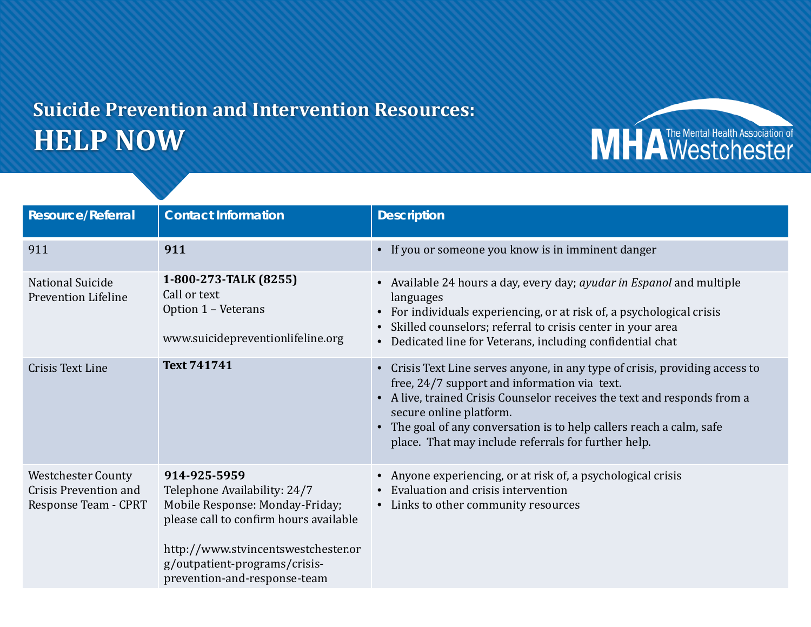## **Suicide Prevention and Intervention Resources: HELP NOW**

**Resource/Referral Contact Information Description** 911 **911** • If you or someone you know is in imminent danger National Suicide Prevention Lifeline **1-800-273-TALK (8255)** Call or text Option 1 – Veterans www.suicidepreventionlifeline.org • Available 24 hours a day, every day; *ayudar in Espanol* and multiple languages • For individuals experiencing, or at risk of, a psychological crisis • Skilled counselors; referral to crisis center in your area • Dedicated line for Veterans, including confidential chat Crisis Text Line **Text <sup>741741</sup>** • Crisis Text Line serves anyone, in any type of crisis, providing access to free, 24/7 support and information via text. • A live, trained Crisis Counselor receives the text and responds from a secure online platform. • The goal of any conversation is to help callers reach a calm, safe place. That may include referrals for further help. Westchester County Crisis Prevention and Response Team - CPRT **914-925-5959** Telephone Availability: 24/7 Mobile Response: Monday-Friday; please call to confirm hours available http://www.stvincentswestchester.or g/outpatient-programs/crisisprevention-and-response-team • Anyone experiencing, or at risk of, a psychological crisis • Evaluation and crisis intervention • Links to other community resources

MHA Westchester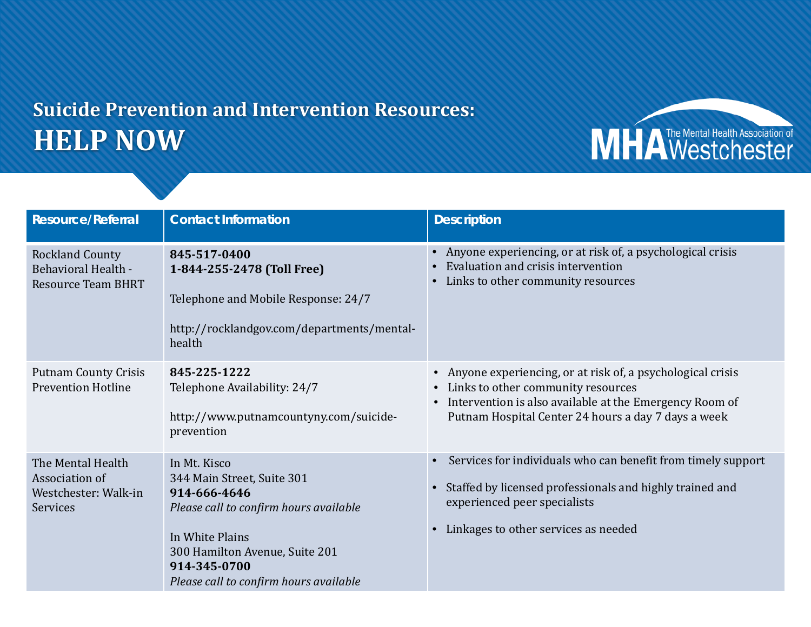## **Suicide Prevention and Intervention Resources: HELP NOW**

**Resource/Referral Contact Information Description** Rockland County Behavioral Health - Resource Team BHRT **845-517-0400 1-844-255-2478 (Toll Free)** Telephone and Mobile Response: 24/7 http://rocklandgov.com/departments/mentalhealth • Anyone experiencing, or at risk of, a psychological crisis • Evaluation and crisis intervention • Links to other community resources Putnam County Crisis Prevention Hotline **845-225-1222** Telephone Availability: 24/7 http://www.putnamcountyny.com/suicideprevention • Anyone experiencing, or at risk of, a psychological crisis • Links to other community resources • Intervention is also available at the Emergency Room of Putnam Hospital Center 24 hours a day 7 days a week The Mental Health Association of Westchester: Walk-in **Services** In Mt. Kisco 344 Main Street, Suite 301 **914-666-4646** *Please call to confirm hours available* In White Plains 300 Hamilton Avenue, Suite 201 **914-345-0700** *Please call to confirm hours available* • Services for individuals who can benefit from timely support • Staffed by licensed professionals and highly trained and experienced peer specialists • Linkages to other services as needed

MHA Westchester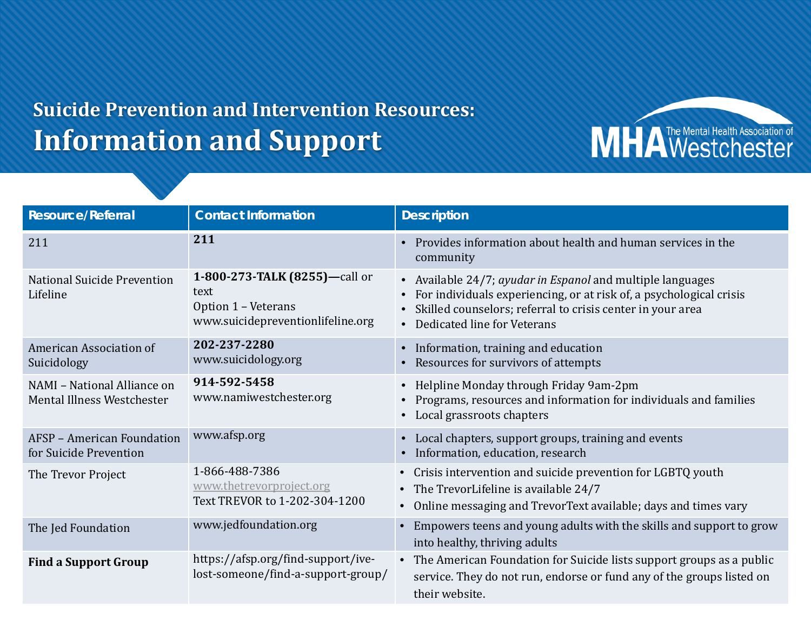## **Suicide Prevention and Intervention Resources: Information and Support**

**Resource/Referral**  Contact Information **Description** <sup>211</sup> **<sup>211</sup>** • Provides information about health and human services in the community National Suicide Prevention Lifeline **1-800-273-TALK (8255)—**call or text Option 1 – Veterans www.suicidepreventionlifeline.org • Available 24/7; *ayudar in Espanol* and multiple languages • For individuals experiencing, or at risk of, a psychological crisis • Skilled counselors; referral to crisis center in your area • Dedicated line for Veterans American Association of Suicidology **202-237-2280** www.suicidology.org • Information, training and education • Resources for survivors of attempts NAMI – National Alliance on Mental Illness Westchester **914-592-5458** www.namiwestchester.org • Helpline Monday through Friday 9am-2pm • Programs, resources and information for individuals and families • Local grassroots chapters AFSP – American Foundation for Suicide Prevention www.afsp.org • Local chapters, support groups, training and events • Information, education, research The Trevor Project 1-866-488-7386 [www.thetrevorproject.org](http://www.thetrevorproject.org/) Text TREVOR to 1-202-304-1200 • Crisis intervention and suicide prevention for LGBTQ youth • The TrevorLifeline is available 24/7 • Online messaging and TrevorText available; days and times vary The Jed Foundation **WWW.jedfoundation.org** • Empowers teens and young adults with the skills and support to grow into healthy, thriving adults **Find a Support Group** https://afsp.org/find-support/ivelost-someone/find-a-support-group/ • The American Foundation for Suicide lists support groups as a public service. They do not run, endorse or fund any of the groups listed on their website.

MHA Westchester